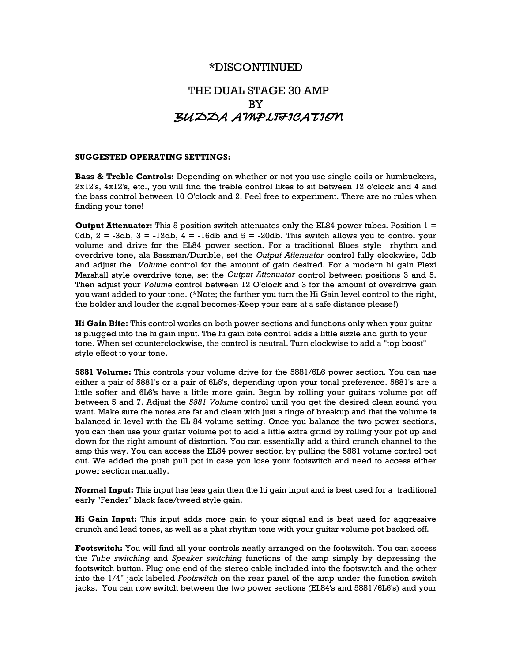## \*DISCONTINUED THE DUAL STAGE 30 AMP BY BUDDA AMPLIFICATION

## **SUGGESTED OPERATING SETTINGS:**

**Bass & Treble Controls:** Depending on whether or not you use single coils or humbuckers, 2x12's, 4x12's, etc., you will find the treble control likes to sit between 12 o'clock and 4 and the bass control between 10 O'clock and 2. Feel free to experiment. There are no rules when finding your tone!

**Output Attenuator:** This 5 position switch attenuates only the EL84 power tubes. Position 1 = 0db,  $2 = -3$ db,  $3 = -12$ db,  $4 = -16$ db and  $5 = -20$ db. This switch allows you to control your volume and drive for the EL84 power section. For a traditional Blues style rhythm and overdrive tone, ala Bassman/Dumble, set the *Output Attenuator* control fully clockwise, 0db and adjust the *Volume* control for the amount of gain desired. For a modern hi gain Plexi Marshall style overdrive tone, set the *Output Attenuator* control between positions 3 and 5. Then adjust your *Volume* control between 12 O'clock and 3 for the amount of overdrive gain you want added to your tone. (\*Note; the farther you turn the Hi Gain level control to the right, the bolder and louder the signal becomes-Keep your ears at a safe distance please!)

**Hi Gain Bite:** This control works on both power sections and functions only when your guitar is plugged into the hi gain input. The hi gain bite control adds a little sizzle and girth to your tone. When set counterclockwise, the control is neutral. Turn clockwise to add a "top boost" style effect to your tone.

**5881 Volume:** This controls your volume drive for the 5881/6L6 power section. You can use either a pair of 5881's or a pair of 6L6's, depending upon your tonal preference. 5881's are a little softer and 6L6's have a little more gain. Begin by rolling your guitars volume pot off between 5 and 7. Adjust the *5881 Volume* control until you get the desired clean sound you want. Make sure the notes are fat and clean with just a tinge of breakup and that the volume is balanced in level with the EL 84 volume setting. Once you balance the two power sections, you can then use your guitar volume pot to add a little extra grind by rolling your pot up and down for the right amount of distortion. You can essentially add a third crunch channel to the amp this way. You can access the EL84 power section by pulling the 5881 volume control pot out. We added the push pull pot in case you lose your footswitch and need to access either power section manually.

**Normal Input:** This input has less gain then the hi gain input and is best used for a traditional early "Fender" black face/tweed style gain.

**Hi Gain Input:** This input adds more gain to your signal and is best used for aggressive crunch and lead tones, as well as a phat rhythm tone with your guitar volume pot backed off.

**Footswitch:** You will find all your controls neatly arranged on the footswitch. You can access the *Tube switching* and *Speaker switching* functions of the amp simply by depressing the footswitch button. Plug one end of the stereo cable included into the footswitch and the other into the 1/4" jack labeled *Footswitch* on the rear panel of the amp under the function switch jacks. You can now switch between the two power sections (EL84's and 5881'/6L6's) and your